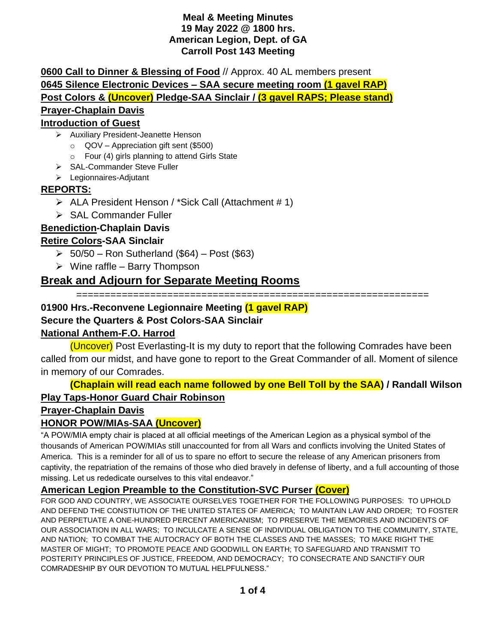#### **Meal & Meeting Minutes 19 May 2022 @ 1800 hrs. American Legion, Dept. of GA Carroll Post 143 Meeting**

**0600 Call to Dinner & Blessing of Food** // Approx. 40 AL members present **0645 Silence Electronic Devices – SAA secure meeting room (1 gavel RAP) Post Colors & (Uncover) Pledge-SAA Sinclair / (3 gavel RAPS; Please stand) Prayer-Chaplain Davis**

### **Introduction of Guest**

- ➢ Auxiliary President-Jeanette Henson
	- $\circ$  QOV Appreciation gift sent (\$500)
	- o Four (4) girls planning to attend Girls State
- ➢ SAL-Commander Steve Fuller
- ➢ Legionnaires-Adjutant

### **REPORTS:**

- ➢ ALA President Henson / \*Sick Call (Attachment # 1)
- ➢ SAL Commander Fuller

### **Benediction-Chaplain Davis**

#### **Retire Colors-SAA Sinclair**

- $\geq 50/50$  Ron Sutherland (\$64) Post (\$63)
- $\triangleright$  Wine raffle Barry Thompson

## **Break and Adjourn for Separate Meeting Rooms**

==============================================================

#### **01900 Hrs.-Reconvene Legionnaire Meeting (1 gavel RAP)**

### **Secure the Quarters & Post Colors-SAA Sinclair**

### **National Anthem-F.O. Harrod**

(Uncover) Post Everlasting-It is my duty to report that the following Comrades have been called from our midst, and have gone to report to the Great Commander of all. Moment of silence in memory of our Comrades.

**(Chaplain will read each name followed by one Bell Toll by the SAA) / Randall Wilson Play Taps-Honor Guard Chair Robinson**

#### **Prayer-Chaplain Davis**

### **HONOR POW/MIAs-SAA (Uncover)**

"A POW/MIA empty chair is placed at all official meetings of the American Legion as a physical symbol of the thousands of American POW/MIAs still unaccounted for from all Wars and conflicts involving the United States of America. This is a reminder for all of us to spare no effort to secure the release of any American prisoners from captivity, the repatriation of the remains of those who died bravely in defense of liberty, and a full accounting of those missing. Let us rededicate ourselves to this vital endeavor."

### **American Legion Preamble to the Constitution-SVC Purser (Cover)**

FOR GOD AND COUNTRY, WE ASSOCIATE OURSELVES TOGETHER FOR THE FOLLOWING PURPOSES: TO UPHOLD AND DEFEND THE CONSTIUTION OF THE UNITED STATES OF AMERICA; TO MAINTAIN LAW AND ORDER; TO FOSTER AND PERPETUATE A ONE-HUNDRED PERCENT AMERICANISM; TO PRESERVE THE MEMORIES AND INCIDENTS OF OUR ASSOCIATION IN ALL WARS; TO INCULCATE A SENSE OF INDIVIDUAL OBLIGATION TO THE COMMUNITY, STATE, AND NATION; TO COMBAT THE AUTOCRACY OF BOTH THE CLASSES AND THE MASSES; TO MAKE RIGHT THE MASTER OF MIGHT; TO PROMOTE PEACE AND GOODWILL ON EARTH; TO SAFEGUARD AND TRANSMIT TO POSTERITY PRINCIPLES OF JUSTICE, FREEDOM, AND DEMOCRACY; TO CONSECRATE AND SANCTIFY OUR COMRADESHIP BY OUR DEVOTION TO MUTUAL HELPFULNESS."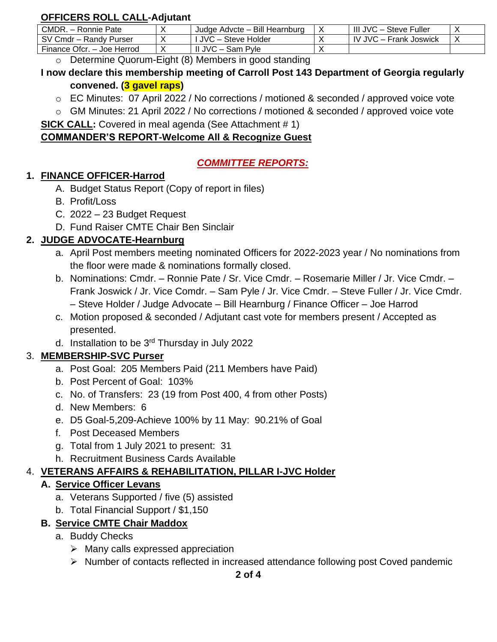## **OFFICERS ROLL CALL-Adjutant**

| CMDR. - Ronnie Pate        | Judge Advcte - Bill Hearnburg | III JVC - Steve Fuller        |  |
|----------------------------|-------------------------------|-------------------------------|--|
| SV Cmdr - Randy Purser     | l JVC – Steve Holder          | <b>IV JVC – Frank Joswick</b> |  |
| Finance Ofcr. - Joe Herrod | JVC – Sam<br>Pvle             |                               |  |

o Determine Quorum-Eight (8) Members in good standing

## **I now declare this membership meeting of Carroll Post 143 Department of Georgia regularly convened. (3 gavel raps)**

- o EC Minutes: 07 April 2022 / No corrections / motioned & seconded / approved voice vote
- o GM Minutes: 21 April 2022 / No corrections / motioned & seconded / approved voice vote

**SICK CALL:** Covered in meal agenda (See Attachment # 1)

## **COMMANDER'S REPORT-Welcome All & Recognize Guest**

# *COMMITTEE REPORTS:*

## **1. FINANCE OFFICER-Harrod**

- A. Budget Status Report (Copy of report in files)
- B. Profit/Loss
- C. 2022 23 Budget Request
- D. Fund Raiser CMTE Chair Ben Sinclair

# **2. JUDGE ADVOCATE-Hearnburg**

- a. April Post members meeting nominated Officers for 2022-2023 year / No nominations from the floor were made & nominations formally closed.
- b. Nominations: Cmdr. Ronnie Pate / Sr. Vice Cmdr. Rosemarie Miller / Jr. Vice Cmdr. Frank Joswick / Jr. Vice Comdr. – Sam Pyle / Jr. Vice Cmdr. – Steve Fuller / Jr. Vice Cmdr. – Steve Holder / Judge Advocate – Bill Hearnburg / Finance Officer – Joe Harrod
- c. Motion proposed & seconded / Adjutant cast vote for members present / Accepted as presented.
- d. Installation to be 3rd Thursday in July 2022

# 3. **MEMBERSHIP-SVC Purser**

- a. Post Goal: 205 Members Paid (211 Members have Paid)
- b. Post Percent of Goal: 103%
- c. No. of Transfers: 23 (19 from Post 400, 4 from other Posts)
- d. New Members: 6
- e. D5 Goal-5,209-Achieve 100% by 11 May: 90.21% of Goal
- f. Post Deceased Members
- g. Total from 1 July 2021 to present: 31
- h. Recruitment Business Cards Available

# 4. **VETERANS AFFAIRS & REHABILITATION, PILLAR I-JVC Holder**

# **A. Service Officer Levans**

- a. Veterans Supported / five (5) assisted
- b. Total Financial Support / \$1,150

# **B. Service CMTE Chair Maddox**

- a. Buddy Checks
	- $\triangleright$  Many calls expressed appreciation
	- ➢ Number of contacts reflected in increased attendance following post Coved pandemic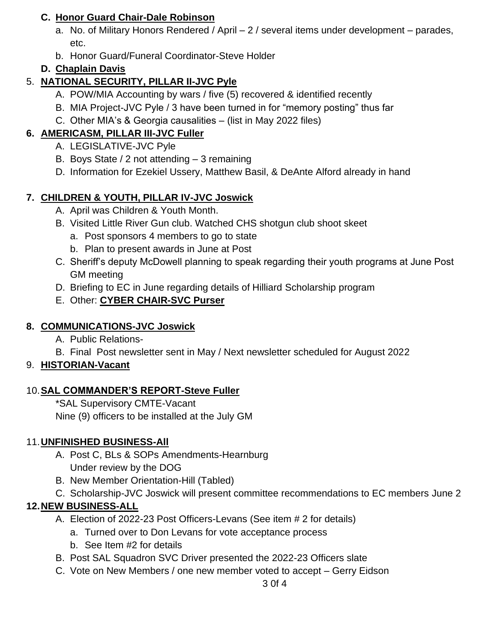### **C. Honor Guard Chair-Dale Robinson**

- a. No. of Military Honors Rendered / April 2 / several items under development parades, etc.
- b. Honor Guard/Funeral Coordinator-Steve Holder

# **D. Chaplain Davis**

# 5. **NATIONAL SECURITY, PILLAR II-JVC Pyle**

- A. POW/MIA Accounting by wars / five (5) recovered & identified recently
- B. MIA Project-JVC Pyle / 3 have been turned in for "memory posting" thus far
- C. Other MIA's & Georgia causalities (list in May 2022 files)

# **6. AMERICASM, PILLAR III-JVC Fuller**

- A. LEGISLATIVE-JVC Pyle
- B. Boys State / 2 not attending 3 remaining
- D. Information for Ezekiel Ussery, Matthew Basil, & DeAnte Alford already in hand

# **7. CHILDREN & YOUTH, PILLAR IV-JVC Joswick**

- A. April was Children & Youth Month.
- B. Visited Little River Gun club. Watched CHS shotgun club shoot skeet
	- a. Post sponsors 4 members to go to state
	- b. Plan to present awards in June at Post
- C. Sheriff's deputy McDowell planning to speak regarding their youth programs at June Post GM meeting
- D. Briefing to EC in June regarding details of Hilliard Scholarship program
- E. Other: **CYBER CHAIR-SVC Purser**

## **8. COMMUNICATIONS-JVC Joswick**

- A. Public Relations-
- B. Final Post newsletter sent in May / Next newsletter scheduled for August 2022

# 9. **HISTORIAN-Vacant**

## 10.**SAL COMMANDER'S REPORT-Steve Fuller**

\*SAL Supervisory CMTE-Vacant Nine (9) officers to be installed at the July GM

## 11.**UNFINISHED BUSINESS-All**

- A. Post C, BLs & SOPs Amendments-Hearnburg Under review by the DOG
- B. New Member Orientation-Hill (Tabled)
- C. Scholarship-JVC Joswick will present committee recommendations to EC members June 2

# **12.NEW BUSINESS-ALL**

- A. Election of 2022-23 Post Officers-Levans (See item # 2 for details)
	- a. Turned over to Don Levans for vote acceptance process
	- b. See Item #2 for details
- B. Post SAL Squadron SVC Driver presented the 2022-23 Officers slate
- C. Vote on New Members / one new member voted to accept Gerry Eidson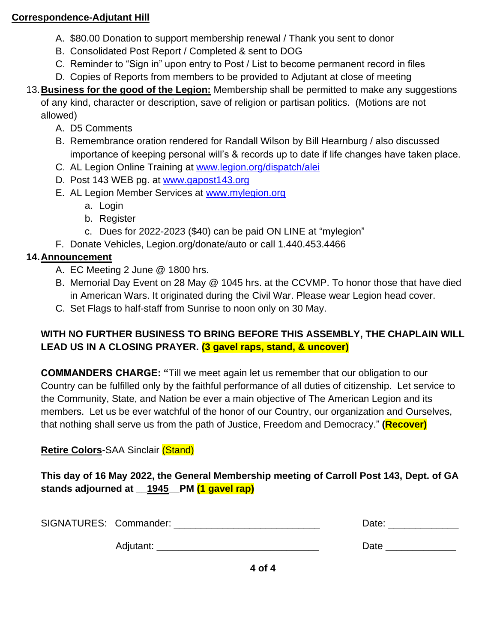### **Correspondence-Adjutant Hill**

- A. \$80.00 Donation to support membership renewal / Thank you sent to donor
- B. Consolidated Post Report / Completed & sent to DOG
- C. Reminder to "Sign in" upon entry to Post / List to become permanent record in files
- D. Copies of Reports from members to be provided to Adjutant at close of meeting
- 13.**Business for the good of the Legion:** Membership shall be permitted to make any suggestions of any kind, character or description, save of religion or partisan politics. (Motions are not allowed)
	- A. D5 Comments
	- B. Remembrance oration rendered for Randall Wilson by Bill Hearnburg / also discussed importance of keeping personal will's & records up to date if life changes have taken place.
	- C. AL Legion Online Training at [www.legion.org/dispatch/alei](about:blank)
	- D. Post 143 WEB pg. at [www.gapost143.org](about:blank)
	- E. AL Legion Member Services at [www.mylegion.org](about:blank)
		- a. Login
		- b. Register
		- c. Dues for 2022-2023 (\$40) can be paid ON LINE at "mylegion"
	- F. Donate Vehicles, Legion.org/donate/auto or call 1.440.453.4466

# **14.Announcement**

- A. EC Meeting 2 June @ 1800 hrs.
- B. Memorial Day Event on 28 May @ 1045 hrs. at the CCVMP. To honor those that have died in American Wars. It originated during the Civil War. Please wear Legion head cover.
- C. Set Flags to half-staff from Sunrise to noon only on 30 May.

# **WITH NO FURTHER BUSINESS TO BRING BEFORE THIS ASSEMBLY, THE CHAPLAIN WILL LEAD US IN A CLOSING PRAYER. (3 gavel raps, stand, & uncover)**

**COMMANDERS CHARGE: "**Till we meet again let us remember that our obligation to our Country can be fulfilled only by the faithful performance of all duties of citizenship. Let service to the Community, State, and Nation be ever a main objective of The American Legion and its members. Let us be ever watchful of the honor of our Country, our organization and Ourselves, that nothing shall serve us from the path of Justice, Freedom and Democracy." **(Recover)**

# **Retire Colors**-SAA Sinclair (Stand)

**This day of 16 May 2022, the General Membership meeting of Carroll Post 143, Dept. of GA stands adjourned at \_\_1945\_\_PM (1 gavel rap)**

| SIGNATURES: Commander: |           |  | Date: |
|------------------------|-----------|--|-------|
|                        | Adjutant: |  | Date  |